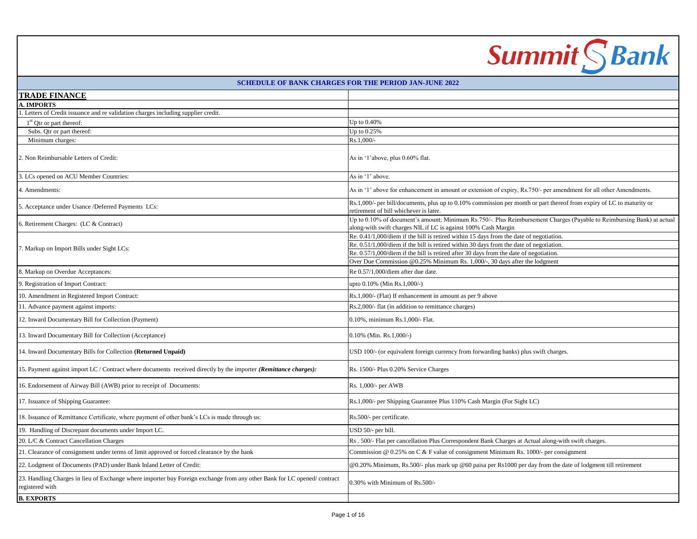|                                                                                                                                            | <b>Summit SBank</b>                                                                                                                                                                                                                                                                                                                                          |
|--------------------------------------------------------------------------------------------------------------------------------------------|--------------------------------------------------------------------------------------------------------------------------------------------------------------------------------------------------------------------------------------------------------------------------------------------------------------------------------------------------------------|
|                                                                                                                                            | <b>SCHEDULE OF BANK CHARGES FOR THE PERIOD JAN-JUNE 2022</b>                                                                                                                                                                                                                                                                                                 |
| <b>TRADE FINANCE</b>                                                                                                                       |                                                                                                                                                                                                                                                                                                                                                              |
| <b>A. IMPORTS</b>                                                                                                                          |                                                                                                                                                                                                                                                                                                                                                              |
| Letters of Credit issuance and re validation charges including supplier credit.                                                            |                                                                                                                                                                                                                                                                                                                                                              |
| $1st$ Qtr or part thereof:                                                                                                                 | Up to 0.40%                                                                                                                                                                                                                                                                                                                                                  |
| Subs. Qtr or part thereof:<br>Minimum charges:                                                                                             | Up to 0.25%<br>Rs.1,000/-                                                                                                                                                                                                                                                                                                                                    |
| 2. Non Reimbursable Letters of Credit:                                                                                                     | As in '1'above, plus 0.60% flat.                                                                                                                                                                                                                                                                                                                             |
| 3. LCs opened on ACU Member Countries:                                                                                                     | As in '1' above.                                                                                                                                                                                                                                                                                                                                             |
| 4. Amendments:                                                                                                                             | As in '1' above for enhancement in amount or extension of expiry, Rs.750/- per amendment for all other Amendments.                                                                                                                                                                                                                                           |
| 5. Acceptance under Usance /Deferred Payments LCs:                                                                                         | Rs.1,000/- per bill/documents, plus up to 0.10% commission per month or part thereof from expiry of LC to maturity or<br>retirement of bill whichever is later.                                                                                                                                                                                              |
| 6. Retirement Charges: (LC & Contract)                                                                                                     | Up to 0.10% of document's amount; Minimum Rs.750/-. Plus Reimbursement Charges (Payable to Reimbursing Bank) at actual<br>along-with swift charges NIL if LC is against 100% Cash Margin                                                                                                                                                                     |
| 7. Markup on Import Bills under Sight LCs:                                                                                                 | $Re. 0.41/1,000/diem$ if the bill is retired within 15 days from the date of negotiation.<br>Re. 0.51/1,000/diem if the bill is retired within 30 days from the date of negotiation.<br>Re. 0.57/1,000/diem if the bill is retired after 30 days from the date of negotiation.<br>Over Due Commission @0.25% Minimum Rs. 1,000/-, 30 days after the lodgment |
| 8. Markup on Overdue Acceptances:                                                                                                          | Re 0.57/1.000/diem after due date.                                                                                                                                                                                                                                                                                                                           |
| 9. Registration of Import Contract:                                                                                                        | upto 0.10% (Min Rs.1,000/-)                                                                                                                                                                                                                                                                                                                                  |
| 10. Amendment in Registered Import Contract:                                                                                               | Rs.1,000/- (Flat) If enhancement in amount as per 9 above                                                                                                                                                                                                                                                                                                    |
| 11. Advance payment against imports:                                                                                                       | Rs.2,000/- flat (in addition to remittance charges)                                                                                                                                                                                                                                                                                                          |
| 12. Inward Documentary Bill for Collection (Payment)                                                                                       | 0.10%, minimum Rs.1,000/- Flat.                                                                                                                                                                                                                                                                                                                              |
| 13. Inward Documentary Bill for Collection (Acceptance)                                                                                    | $0.10\%$ (Min. Rs.1,000/-)                                                                                                                                                                                                                                                                                                                                   |
| 14. Inward Documentary Bills for Collection (Returned Unpaid)                                                                              | USD 100/- (or equivalent foreign currency from forwarding banks) plus swift charges.                                                                                                                                                                                                                                                                         |
| 15. Payment against import LC / Contract where documents received directly by the importer (Remittance charges):                           | Rs. 1500/- Plus 0.20% Service Charges                                                                                                                                                                                                                                                                                                                        |
| 16. Endorsement of Airway Bill (AWB) prior to receipt of Documents:                                                                        | Rs. 1,000/- per AWB                                                                                                                                                                                                                                                                                                                                          |
| 17. Issuance of Shipping Guarantee:                                                                                                        | Rs.1,000/- per Shipping Guarantee Plus 110% Cash Margin (For Sight LC)                                                                                                                                                                                                                                                                                       |
| 18. Issuance of Remittance Certificate, where payment of other bank's LCs is made through us:                                              | Rs.500/- per certificate.                                                                                                                                                                                                                                                                                                                                    |
| 19. Handling of Discrepant documents under Import LC.                                                                                      | USD 50/- per bill.                                                                                                                                                                                                                                                                                                                                           |
| 20. L/C & Contract Cancellation Charges                                                                                                    | Rs. 500/- Flat per cancellation Plus Correspondent Bank Charges at Actual along-with swift charges.                                                                                                                                                                                                                                                          |
| 21. Clearance of consignment under terms of limit approved or forced clearance by the bank                                                 | Commission @ 0.25% on C & F value of consignment Minimum Rs. 1000/- per consignment                                                                                                                                                                                                                                                                          |
| 22. Lodgment of Documents (PAD) under Bank Inland Letter of Credit:                                                                        | @0.20% Minimum, Rs.500/- plus mark up @60 paisa per Rs1000 per day from the date of lodgment till retirement                                                                                                                                                                                                                                                 |
| 23. Handling Charges in lieu of Exchange where importer buy Foreign exchange from any other Bank for LC opened/contract<br>registered with | 0.30% with Minimum of Rs.500/-                                                                                                                                                                                                                                                                                                                               |
| <b>B. EXPORTS</b>                                                                                                                          |                                                                                                                                                                                                                                                                                                                                                              |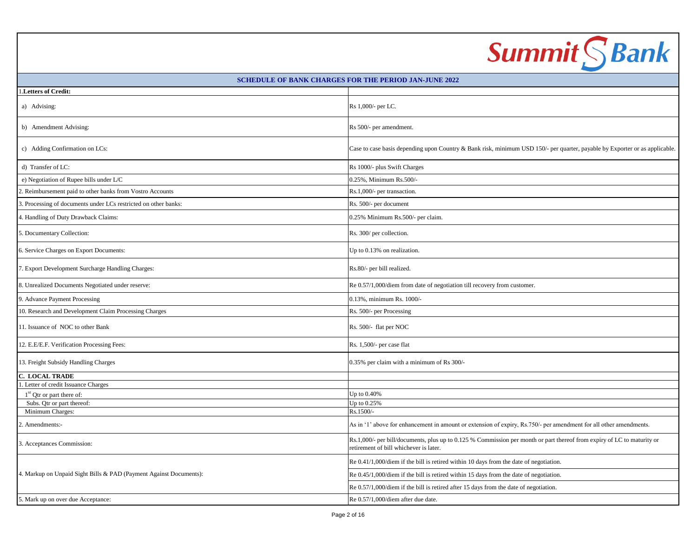|                                                                    | <b>Summit SBank</b>                                                                                                                                               |
|--------------------------------------------------------------------|-------------------------------------------------------------------------------------------------------------------------------------------------------------------|
|                                                                    | <b>SCHEDULE OF BANK CHARGES FOR THE PERIOD JAN-JUNE 2022</b>                                                                                                      |
| Letters of Credit:                                                 |                                                                                                                                                                   |
| a) Advising:                                                       | Rs 1,000/- per LC.                                                                                                                                                |
| b) Amendment Advising:                                             | Rs 500/- per amendment.                                                                                                                                           |
| c) Adding Confirmation on LCs:                                     | Case to case basis depending upon Country & Bank risk, minimum USD 150/- per quarter, payable by Exporter or as applicable.                                       |
| d) Transfer of LC:                                                 | Rs 1000/- plus Swift Charges                                                                                                                                      |
| e) Negotiation of Rupee bills under L/C                            | 0.25%, Minimum Rs.500/-                                                                                                                                           |
| 2. Reimbursement paid to other banks from Vostro Accounts          | Rs.1,000/- per transaction.                                                                                                                                       |
| Processing of documents under LCs restricted on other banks:       | Rs. 500/- per document                                                                                                                                            |
| 4. Handling of Duty Drawback Claims:                               | 0.25% Minimum Rs.500/- per claim.                                                                                                                                 |
| 5. Documentary Collection:                                         | Rs. 300/ per collection.                                                                                                                                          |
| 6. Service Charges on Export Documents:                            | Up to 0.13% on realization.                                                                                                                                       |
| 7. Export Development Surcharge Handling Charges:                  | Rs.80/- per bill realized.                                                                                                                                        |
| 8. Unrealized Documents Negotiated under reserve:                  | Re 0.57/1,000/diem from date of negotiation till recovery from customer.                                                                                          |
| 9. Advance Payment Processing                                      | 0.13%, minimum Rs. 1000/-                                                                                                                                         |
| 10. Research and Development Claim Processing Charges              | Rs. 500/- per Processing                                                                                                                                          |
| 11. Issuance of NOC to other Bank                                  | Rs. 500/- flat per NOC                                                                                                                                            |
| 12. E.E/E.F. Verification Processing Fees:                         | Rs. 1,500/- per case flat                                                                                                                                         |
| 13. Freight Subsidy Handling Charges                               | 0.35% per claim with a minimum of Rs 300/-                                                                                                                        |
| <b>C. LOCAL TRADE</b>                                              |                                                                                                                                                                   |
| 1. Letter of credit Issuance Charges                               |                                                                                                                                                                   |
| $1st$ Qtr or part there of:<br>Subs. Qtr or part thereof:          | Up to 0.40%<br>Up to 0.25%                                                                                                                                        |
| Minimum Charges:                                                   | Rs.1500/-                                                                                                                                                         |
| 2. Amendments:-                                                    | As in '1' above for enhancement in amount or extension of expiry, Rs.750/- per amendment for all other amendments.                                                |
| 3. Acceptances Commission:                                         | Rs.1,000/- per bill/documents, plus up to 0.125 % Commission per month or part thereof from expiry of LC to maturity or<br>retirement of bill whichever is later. |
|                                                                    | Re 0.41/1,000/diem if the bill is retired within 10 days from the date of negotiation.                                                                            |
| 4. Markup on Unpaid Sight Bills & PAD (Payment Against Documents): | Re 0.45/1,000/diem if the bill is retired within 15 days from the date of negotiation.                                                                            |
|                                                                    | Re 0.57/1,000/diem if the bill is retired after 15 days from the date of negotiation.                                                                             |
| 5. Mark up on over due Acceptance:                                 | Re 0.57/1,000/diem after due date.                                                                                                                                |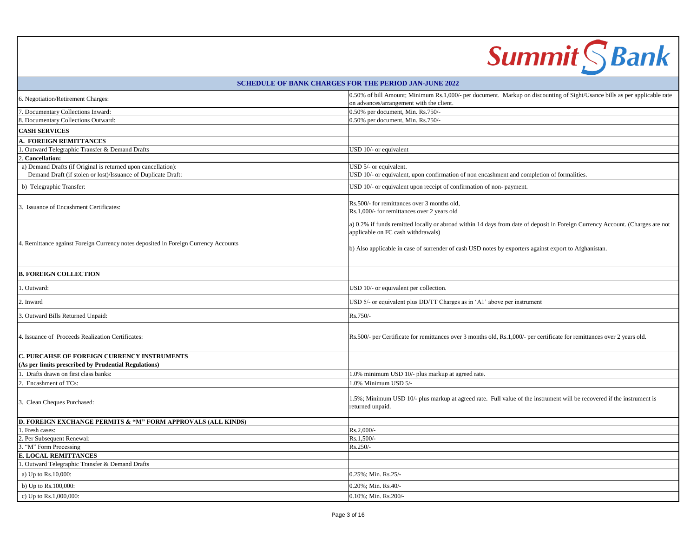|                                                                                                                                | <b>Summit SBank</b>                                                                                                                                                                                                                                                          |
|--------------------------------------------------------------------------------------------------------------------------------|------------------------------------------------------------------------------------------------------------------------------------------------------------------------------------------------------------------------------------------------------------------------------|
|                                                                                                                                | <b>SCHEDULE OF BANK CHARGES FOR THE PERIOD JAN-JUNE 2022</b>                                                                                                                                                                                                                 |
| 6. Negotiation/Retirement Charges:                                                                                             | 0.50% of bill Amount; Minimum Rs.1,000/- per document. Markup on discounting of Sight/Usance bills as per applicable rate<br>on advances/arrangement with the client.                                                                                                        |
| 7. Documentary Collections Inward:                                                                                             | 0.50% per document, Min. Rs.750/-                                                                                                                                                                                                                                            |
| 8. Documentary Collections Outward:                                                                                            | 0.50% per document, Min. Rs.750/-                                                                                                                                                                                                                                            |
| <b>CASH SERVICES</b>                                                                                                           |                                                                                                                                                                                                                                                                              |
| A. FOREIGN REMITTANCES                                                                                                         |                                                                                                                                                                                                                                                                              |
| 1. Outward Telegraphic Transfer & Demand Drafts                                                                                | USD 10/- or equivalent                                                                                                                                                                                                                                                       |
| 2. Cancellation:                                                                                                               |                                                                                                                                                                                                                                                                              |
| a) Demand Drafts (if Original is returned upon cancellation):<br>Demand Draft (if stolen or lost)/Issuance of Duplicate Draft: | USD 5/- or equivalent.<br>USD 10/- or equivalent, upon confirmation of non encashment and completion of formalities.                                                                                                                                                         |
| b) Telegraphic Transfer:                                                                                                       | USD 10/- or equivalent upon receipt of confirmation of non-payment.                                                                                                                                                                                                          |
| 3. Issuance of Encashment Certificates:                                                                                        | Rs.500/- for remittances over 3 months old,<br>Rs.1,000/- for remittances over 2 years old                                                                                                                                                                                   |
| . Remittance against Foreign Currency notes deposited in Foreign Currency Accounts                                             | a) 0.2% if funds remitted locally or abroad within 14 days from date of deposit in Foreign Currency Account. (Charges are not<br>applicable on FC cash withdrawals)<br>b) Also applicable in case of surrender of cash USD notes by exporters against export to Afghanistan. |
| <b>B. FOREIGN COLLECTION</b>                                                                                                   |                                                                                                                                                                                                                                                                              |
| . Outward:                                                                                                                     | USD 10/- or equivalent per collection.                                                                                                                                                                                                                                       |
| 2. Inward                                                                                                                      | USD 5/- or equivalent plus DD/TT Charges as in 'A1' above per instrument                                                                                                                                                                                                     |
| 3. Outward Bills Returned Unpaid:                                                                                              | Rs.750/-                                                                                                                                                                                                                                                                     |
| 4. Issuance of Proceeds Realization Certificates:                                                                              | Rs.500/- per Certificate for remittances over 3 months old, Rs.1,000/- per certificate for remittances over 2 years old.                                                                                                                                                     |
| C. PURCAHSE OF FOREIGN CURRENCY INSTRUMENTS<br>(As per limits prescribed by Prudential Regulations)                            |                                                                                                                                                                                                                                                                              |
| 1. Drafts drawn on first class banks:                                                                                          | 1.0% minimum USD 10/- plus markup at agreed rate.                                                                                                                                                                                                                            |
| Encashment of TCs:                                                                                                             | 1.0% Minimum USD 5/-                                                                                                                                                                                                                                                         |
| 3. Clean Cheques Purchased:                                                                                                    | 1.5%; Minimum USD 10/- plus markup at agreed rate. Full value of the instrument will be recovered if the instrument is<br>returned unpaid.                                                                                                                                   |
| D. FOREIGN EXCHANGE PERMITS & "M" FORM APPROVALS (ALL KINDS)                                                                   |                                                                                                                                                                                                                                                                              |
| 1. Fresh cases:                                                                                                                | Rs.2,000/-                                                                                                                                                                                                                                                                   |
| 2. Per Subsequent Renewal:                                                                                                     | Rs.1,500/-                                                                                                                                                                                                                                                                   |
| 3. "M" Form Processing<br><b>E. LOCAL REMITTANCES</b>                                                                          | Rs.250/-                                                                                                                                                                                                                                                                     |
| 1. Outward Telegraphic Transfer & Demand Drafts                                                                                |                                                                                                                                                                                                                                                                              |
| a) Up to Rs.10,000:                                                                                                            | 0.25%; Min. Rs.25/-                                                                                                                                                                                                                                                          |
| b) Up to Rs.100,000:                                                                                                           | 0.20%; Min. Rs.40/-                                                                                                                                                                                                                                                          |
| c) Up to Rs.1,000,000:                                                                                                         | 0.10%; Min. Rs.200/-                                                                                                                                                                                                                                                         |
|                                                                                                                                |                                                                                                                                                                                                                                                                              |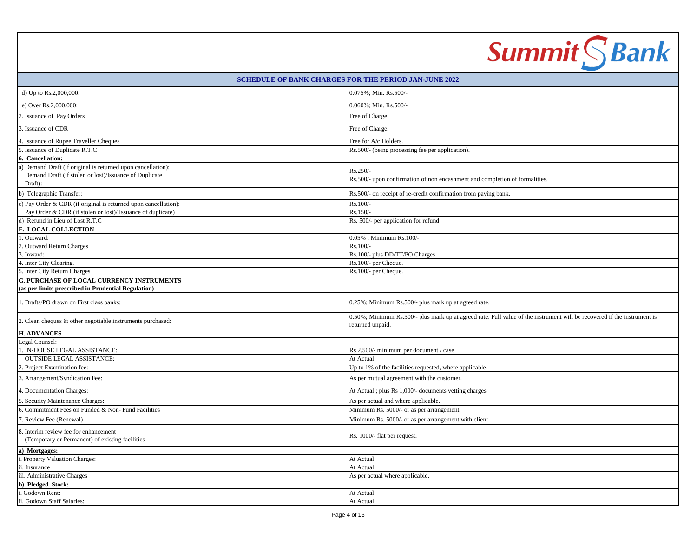|                                                                                                                                   | <b>Summit</b> S Bank                                                                                                                         |
|-----------------------------------------------------------------------------------------------------------------------------------|----------------------------------------------------------------------------------------------------------------------------------------------|
|                                                                                                                                   | <b>SCHEDULE OF BANK CHARGES FOR THE PERIOD JAN-JUNE 2022</b>                                                                                 |
| d) Up to Rs.2,000,000:                                                                                                            | 0.075%; Min. Rs.500/-                                                                                                                        |
| e) Over Rs.2,000,000:                                                                                                             | 0.060%; Min. Rs.500/-                                                                                                                        |
| 2. Issuance of Pay Orders                                                                                                         | Free of Charge.                                                                                                                              |
| 3. Issuance of CDR                                                                                                                | Free of Charge.                                                                                                                              |
| 4. Issuance of Rupee Traveller Cheques                                                                                            | Free for A/c Holders.                                                                                                                        |
| 5. Issuance of Duplicate R.T.C                                                                                                    | Rs.500/- (being processing fee per application).                                                                                             |
| 6. Cancellation:                                                                                                                  |                                                                                                                                              |
| a) Demand Draft (if original is returned upon cancellation):<br>Demand Draft (if stolen or lost)/Issuance of Duplicate<br>Draft): | Rs.250/-<br>Rs.500/- upon confirmation of non encashment and completion of formalities.                                                      |
| b) Telegraphic Transfer:                                                                                                          | Rs.500/- on receipt of re-credit confirmation from paying bank.                                                                              |
| c) Pay Order & CDR (if original is returned upon cancellation):<br>Pay Order & CDR (if stolen or lost)/ Issuance of duplicate)    | Rs.100/-<br>Rs.150/-                                                                                                                         |
| d) Refund in Lieu of Lost R.T.C                                                                                                   | Rs. 500/- per application for refund                                                                                                         |
| <b>F. LOCAL COLLECTION</b>                                                                                                        |                                                                                                                                              |
| 1. Outward:                                                                                                                       | 0.05%; Minimum Rs.100/-                                                                                                                      |
| 2. Outward Return Charges                                                                                                         | Rs.100/-                                                                                                                                     |
| 3. Inward:                                                                                                                        | Rs.100/- plus DD/TT/PO Charges                                                                                                               |
| 4. Inter City Clearing.                                                                                                           | Rs.100/- per Cheque.                                                                                                                         |
| 5. Inter City Return Charges                                                                                                      | Rs.100/- per Cheque.                                                                                                                         |
| <b>G. PURCHASE OF LOCAL CURRENCY INSTRUMENTS</b><br>(as per limits prescribed in Prudential Regulation)                           |                                                                                                                                              |
| . Drafts/PO drawn on First class banks:                                                                                           | 0.25%; Minimum Rs.500/- plus mark up at agreed rate.                                                                                         |
| 2. Clean cheques & other negotiable instruments purchased:                                                                        | 0.50%; Minimum Rs.500/- plus mark up at agreed rate. Full value of the instrument will be recovered if the instrument is<br>returned unpaid. |
| <b>H. ADVANCES</b>                                                                                                                |                                                                                                                                              |
| Legal Counsel:                                                                                                                    |                                                                                                                                              |
| 1. IN-HOUSE LEGAL ASSISTANCE:                                                                                                     | Rs 2,500/- minimum per document / case                                                                                                       |
| <b>OUTSIDE LEGAL ASSISTANCE:</b>                                                                                                  | At Actual                                                                                                                                    |
| 2. Project Examination fee:                                                                                                       | Up to 1% of the facilities requested, where applicable.                                                                                      |
| 3. Arrangement/Syndication Fee:                                                                                                   | As per mutual agreement with the customer.                                                                                                   |
| 4. Documentation Charges:                                                                                                         | At Actual ; plus Rs 1,000/- documents vetting charges                                                                                        |
| 5. Security Maintenance Charges:                                                                                                  | As per actual and where applicable.                                                                                                          |
| 6. Commitment Fees on Funded & Non-Fund Facilities                                                                                | Minimum Rs. 5000/- or as per arrangement                                                                                                     |
| 7. Review Fee (Renewal)                                                                                                           | Minimum Rs. 5000/- or as per arrangement with client                                                                                         |
| 8. Interim review fee for enhancement<br>(Temporary or Permanent) of existing facilities                                          | Rs. 1000/- flat per request.                                                                                                                 |
| a) Mortgages:                                                                                                                     |                                                                                                                                              |
| i. Property Valuation Charges:                                                                                                    | At Actual                                                                                                                                    |
| ii. Insurance                                                                                                                     | At Actual                                                                                                                                    |
| iii. Administrative Charges                                                                                                       | As per actual where applicable.                                                                                                              |
| b) Pledged Stock:                                                                                                                 |                                                                                                                                              |
| Godown Rent:                                                                                                                      | At Actual                                                                                                                                    |
| ii. Godown Staff Salaries:                                                                                                        | At Actual                                                                                                                                    |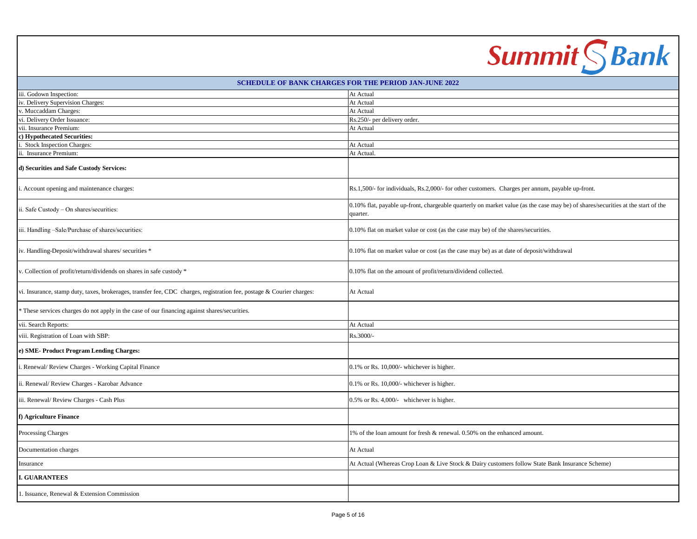|                                                                                                                       | <b>Summit SBank</b>                                                                                                                          |  |
|-----------------------------------------------------------------------------------------------------------------------|----------------------------------------------------------------------------------------------------------------------------------------------|--|
| SCHEDULE OF BANK CHARGES FOR THE PERIOD JAN-JUNE 2022                                                                 |                                                                                                                                              |  |
| iii. Godown Inspection:                                                                                               | At Actual                                                                                                                                    |  |
| v. Delivery Supervision Charges:                                                                                      | At Actual                                                                                                                                    |  |
| . Muccaddam Charges:                                                                                                  | At Actual                                                                                                                                    |  |
| vi. Delivery Order Issuance:                                                                                          | Rs.250/- per delivery order.                                                                                                                 |  |
| vii. Insurance Premium:                                                                                               | At Actual                                                                                                                                    |  |
| c) Hypothecated Securities:                                                                                           |                                                                                                                                              |  |
| Stock Inspection Charges:                                                                                             | At Actual                                                                                                                                    |  |
| ii. Insurance Premium:                                                                                                | At Actual.                                                                                                                                   |  |
| d) Securities and Safe Custody Services:                                                                              |                                                                                                                                              |  |
| i. Account opening and maintenance charges:                                                                           | Rs.1,500/- for individuals, Rs.2,000/- for other customers. Charges per annum, payable up-front.                                             |  |
| ii. Safe Custody - On shares/securities:                                                                              | 0.10% flat, payable up-front, chargeable quarterly on market value (as the case may be) of shares/securities at the start of the<br>quarter. |  |
| iii. Handling -Sale/Purchase of shares/securities:                                                                    | 0.10% flat on market value or cost (as the case may be) of the shares/securities.                                                            |  |
| iv. Handling-Deposit/withdrawal shares/ securities *                                                                  | 0.10% flat on market value or cost (as the case may be) as at date of deposit/withdrawal                                                     |  |
| v. Collection of profit/return/dividends on shares in safe custody *                                                  | 0.10% flat on the amount of profit/return/dividend collected.                                                                                |  |
| vi. Insurance, stamp duty, taxes, brokerages, transfer fee, CDC charges, registration fee, postage & Courier charges: | At Actual                                                                                                                                    |  |
| These services charges do not apply in the case of our financing against shares/securities.                           |                                                                                                                                              |  |
| vii. Search Reports:                                                                                                  | At Actual                                                                                                                                    |  |
| viii. Registration of Loan with SBP:                                                                                  | Rs.3000/-                                                                                                                                    |  |
| e) SME-Product Program Lending Charges:                                                                               |                                                                                                                                              |  |
| i. Renewal/ Review Charges - Working Capital Finance                                                                  | 0.1% or Rs. 10,000/- whichever is higher.                                                                                                    |  |
| ii. Renewal/ Review Charges - Karobar Advance                                                                         | 0.1% or Rs. 10,000/- whichever is higher.                                                                                                    |  |
| iii. Renewal/ Review Charges - Cash Plus                                                                              | 0.5% or Rs. 4,000/- whichever is higher.                                                                                                     |  |
| f) Agriculture Finance                                                                                                |                                                                                                                                              |  |
| Processing Charges                                                                                                    | 1% of the loan amount for fresh & renewal. 0.50% on the enhanced amount.                                                                     |  |
| Documentation charges                                                                                                 | At Actual                                                                                                                                    |  |
| Insurance                                                                                                             | At Actual (Whereas Crop Loan & Live Stock & Dairy customers follow State Bank Insurance Scheme)                                              |  |
| <b>I. GUARANTEES</b>                                                                                                  |                                                                                                                                              |  |
| 1. Issuance, Renewal & Extension Commission                                                                           |                                                                                                                                              |  |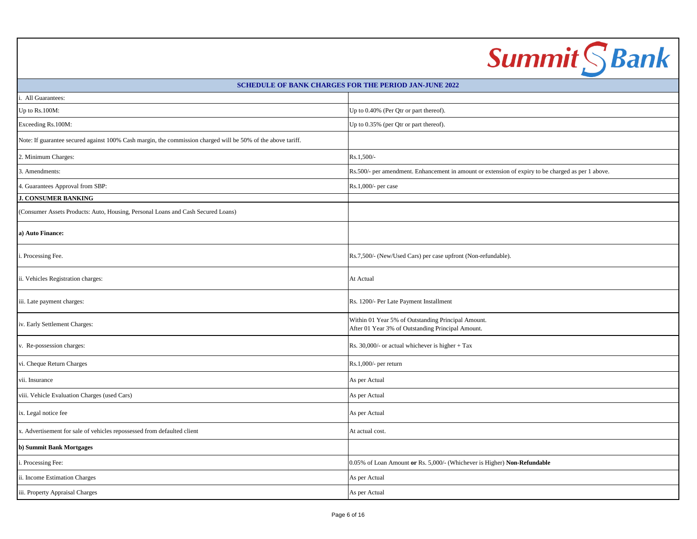|                                                                                                              | <b>Summit SBank</b>                                                                                     |  |
|--------------------------------------------------------------------------------------------------------------|---------------------------------------------------------------------------------------------------------|--|
| <b>SCHEDULE OF BANK CHARGES FOR THE PERIOD JAN-JUNE 2022</b>                                                 |                                                                                                         |  |
| All Guarantees:                                                                                              |                                                                                                         |  |
| Up to $Rs.100M$ :                                                                                            | Up to 0.40% (Per Qtr or part thereof).                                                                  |  |
| Exceeding Rs.100M:                                                                                           | Up to 0.35% (per Qtr or part thereof).                                                                  |  |
| Note: If guarantee secured against 100% Cash margin, the commission charged will be 50% of the above tariff. |                                                                                                         |  |
| 2. Minimum Charges:                                                                                          | Rs.1,500/-                                                                                              |  |
| 3. Amendments:                                                                                               | Rs.500/- per amendment. Enhancement in amount or extension of expiry to be charged as per 1 above.      |  |
| 4. Guarantees Approval from SBP:                                                                             | Rs.1,000/- per case                                                                                     |  |
| <b>J. CONSUMER BANKING</b>                                                                                   |                                                                                                         |  |
| (Consumer Assets Products: Auto, Housing, Personal Loans and Cash Secured Loans)                             |                                                                                                         |  |
| a) Auto Finance:                                                                                             |                                                                                                         |  |
| . Processing Fee.                                                                                            | Rs.7,500/- (New/Used Cars) per case upfront (Non-refundable).                                           |  |
| ii. Vehicles Registration charges:                                                                           | At Actual                                                                                               |  |
| iii. Late payment charges:                                                                                   | Rs. 1200/- Per Late Payment Installment                                                                 |  |
| iv. Early Settlement Charges:                                                                                | Within 01 Year 5% of Outstanding Principal Amount.<br>After 01 Year 3% of Outstanding Principal Amount. |  |
| . Re-possession charges:                                                                                     | Rs. 30,000/- or actual whichever is higher $+$ Tax                                                      |  |
| vi. Cheque Return Charges                                                                                    | Rs.1,000/- per return                                                                                   |  |
| vii. Insurance                                                                                               | As per Actual                                                                                           |  |
| viii. Vehicle Evaluation Charges (used Cars)                                                                 | As per Actual                                                                                           |  |
| ix. Legal notice fee                                                                                         | As per Actual                                                                                           |  |
| x. Advertisement for sale of vehicles repossessed from defaulted client                                      | At actual cost.                                                                                         |  |
| b) Summit Bank Mortgages                                                                                     |                                                                                                         |  |
| . Processing Fee:                                                                                            | 0.05% of Loan Amount or Rs. 5,000/- (Whichever is Higher) Non-Refundable                                |  |
| ii. Income Estimation Charges                                                                                | As per Actual                                                                                           |  |
| iii. Property Appraisal Charges                                                                              | As per Actual                                                                                           |  |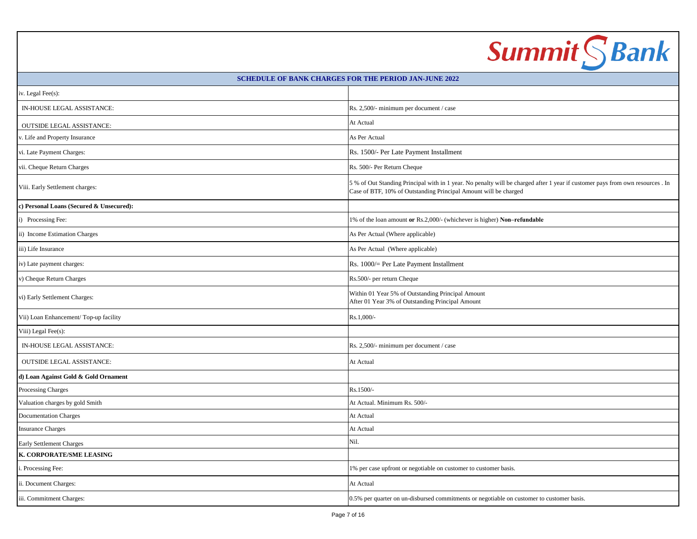| <b>Summit SBank</b>                      |                                                                                                                                                                                                    |  |
|------------------------------------------|----------------------------------------------------------------------------------------------------------------------------------------------------------------------------------------------------|--|
|                                          | <b>SCHEDULE OF BANK CHARGES FOR THE PERIOD JAN-JUNE 2022</b>                                                                                                                                       |  |
| iv. Legal Fee(s):                        |                                                                                                                                                                                                    |  |
| IN-HOUSE LEGAL ASSISTANCE:               | Rs. 2,500/- minimum per document / case                                                                                                                                                            |  |
| <b>OUTSIDE LEGAL ASSISTANCE:</b>         | At Actual                                                                                                                                                                                          |  |
| v. Life and Property Insurance           | As Per Actual                                                                                                                                                                                      |  |
| vi. Late Payment Charges:                | Rs. 1500/- Per Late Payment Installment                                                                                                                                                            |  |
| vii. Cheque Return Charges               | Rs. 500/- Per Return Cheque                                                                                                                                                                        |  |
| Viii. Early Settlement charges:          | 5 % of Out Standing Principal with in 1 year. No penalty will be charged after 1 year if customer pays from own resources . In<br>Case of BTF, 10% of Outstanding Principal Amount will be charged |  |
| c) Personal Loans (Secured & Unsecured): |                                                                                                                                                                                                    |  |
| i) Processing Fee:                       | 1% of the loan amount or Rs.2,000/- (whichever is higher) Non-refundable                                                                                                                           |  |
| ii) Income Estimation Charges            | As Per Actual (Where applicable)                                                                                                                                                                   |  |
| iii) Life Insurance                      | As Per Actual (Where applicable)                                                                                                                                                                   |  |
| iv) Late payment charges:                | Rs. 1000/= Per Late Payment Installment                                                                                                                                                            |  |
| v) Cheque Return Charges                 | Rs.500/- per return Cheque                                                                                                                                                                         |  |
| vi) Early Settlement Charges:            | Within 01 Year 5% of Outstanding Principal Amount<br>After 01 Year 3% of Outstanding Principal Amount                                                                                              |  |
| Vii) Loan Enhancement/Top-up facility    | Rs.1,000/-                                                                                                                                                                                         |  |
| Viii) Legal Fee(s):                      |                                                                                                                                                                                                    |  |
| IN-HOUSE LEGAL ASSISTANCE:               | Rs. 2,500/- minimum per document / case                                                                                                                                                            |  |
| <b>OUTSIDE LEGAL ASSISTANCE:</b>         | At Actual                                                                                                                                                                                          |  |
| d) Loan Against Gold & Gold Ornament     |                                                                                                                                                                                                    |  |
| Processing Charges                       | Rs.1500/-                                                                                                                                                                                          |  |
| Valuation charges by gold Smith          | At Actual. Minimum Rs. 500/-                                                                                                                                                                       |  |
| <b>Documentation Charges</b>             | At Actual                                                                                                                                                                                          |  |
| <b>Insurance Charges</b>                 | At Actual                                                                                                                                                                                          |  |
| Early Settlement Charges                 | Nil.                                                                                                                                                                                               |  |
| K. CORPORATE/SME LEASING                 |                                                                                                                                                                                                    |  |
| i. Processing Fee:                       | 1% per case upfront or negotiable on customer to customer basis.                                                                                                                                   |  |
| ii. Document Charges:                    | At Actual                                                                                                                                                                                          |  |
| iii. Commitment Charges:                 | 0.5% per quarter on un-disbursed commitments or negotiable on customer to customer basis.                                                                                                          |  |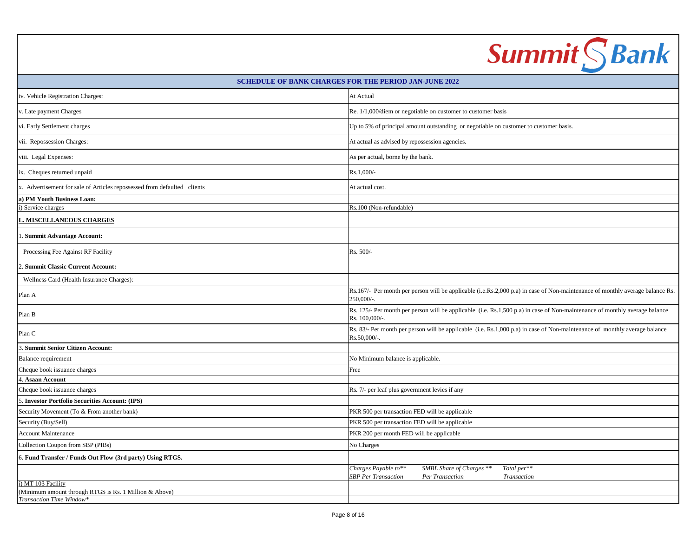|                                                                                                          | <b>Summit SBank</b>                                                                                                                           |
|----------------------------------------------------------------------------------------------------------|-----------------------------------------------------------------------------------------------------------------------------------------------|
|                                                                                                          | <b>SCHEDULE OF BANK CHARGES FOR THE PERIOD JAN-JUNE 2022</b>                                                                                  |
| iv. Vehicle Registration Charges:                                                                        | At Actual                                                                                                                                     |
| . Late payment Charges                                                                                   | Re. 1/1,000/diem or negotiable on customer to customer basis                                                                                  |
| vi. Early Settlement charges                                                                             | Up to 5% of principal amount outstanding or negotiable on customer to customer basis.                                                         |
| vii. Repossession Charges:                                                                               | At actual as advised by repossession agencies.                                                                                                |
| viii. Legal Expenses:                                                                                    | As per actual, borne by the bank.                                                                                                             |
| ix. Cheques returned unpaid                                                                              | Rs.1,000/-                                                                                                                                    |
| x. Advertisement for sale of Articles repossessed from defaulted clients                                 | At actual cost.                                                                                                                               |
| a) PM Youth Business Loan:                                                                               |                                                                                                                                               |
| () Service charges                                                                                       | Rs.100 (Non-refundable)                                                                                                                       |
| MISCELLANEOUS CHARGES                                                                                    |                                                                                                                                               |
| <b>Summit Advantage Account:</b>                                                                         |                                                                                                                                               |
| Processing Fee Against RF Facility                                                                       | Rs. 500/-                                                                                                                                     |
| <b>Summit Classic Current Account:</b>                                                                   |                                                                                                                                               |
| Wellness Card (Health Insurance Charges):                                                                |                                                                                                                                               |
| Plan A                                                                                                   | Rs.167/- Per month per person will be applicable (i.e.Rs.2,000 p.a) in case of Non-maintenance of monthly average balance Rs.<br>250,000/-.   |
| Plan B                                                                                                   | Rs. 125/- Per month per person will be applicable (i.e. Rs.1,500 p.a) in case of Non-maintenance of monthly average balance<br>Rs. 100,000/-. |
| Plan C                                                                                                   | Rs. 83/- Per month per person will be applicable (i.e. Rs.1,000 p.a) in case of Non-maintenance of monthly average balance<br>Rs.50,000/-.    |
| 3. Summit Senior Citizen Account:                                                                        |                                                                                                                                               |
| Balance requirement                                                                                      | No Minimum balance is applicable.                                                                                                             |
| Cheque book issuance charges                                                                             | Free                                                                                                                                          |
| 4. Asaan Account                                                                                         |                                                                                                                                               |
| Cheque book issuance charges<br>5. Investor Portfolio Securities Account: (IPS)                          | Rs. 7/- per leaf plus government levies if any                                                                                                |
| Security Movement (To & From another bank)                                                               |                                                                                                                                               |
| Security (Buy/Sell)                                                                                      | PKR 500 per transaction FED will be applicable<br>PKR 500 per transaction FED will be applicable                                              |
| <b>Account Maintenance</b>                                                                               | PKR 200 per month FED will be applicable                                                                                                      |
| Collection Coupon from SBP (PIBs)                                                                        | No Charges                                                                                                                                    |
|                                                                                                          |                                                                                                                                               |
| 6. Fund Transfer / Funds Out Flow (3rd party) Using RTGS.                                                | Charges Payable to**<br>SMBL Share of Charges **<br>Total per**                                                                               |
|                                                                                                          | <b>SBP</b> Per Transaction<br>Per Transaction<br>Transaction                                                                                  |
| i) MT 103 Facility<br>(Minimum amount through RTGS is Rs. 1 Million & Above)<br>Transaction Time Window* |                                                                                                                                               |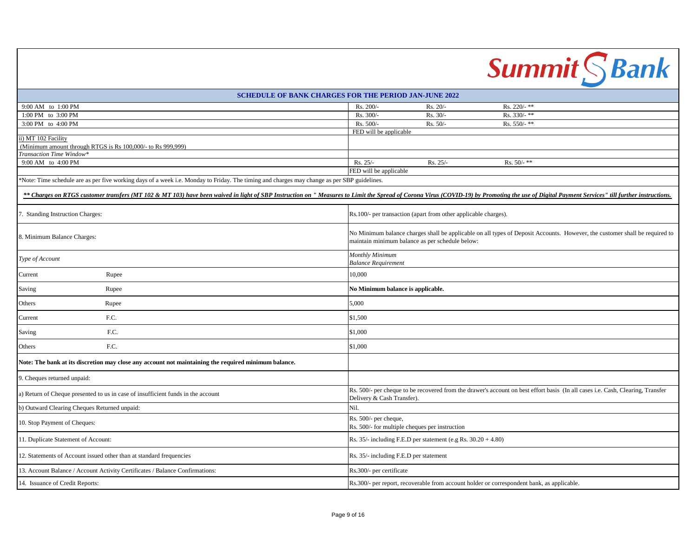|                                                                                                                                            | <b>Summit</b> S Bank                                                                                                                                                                                                           |
|--------------------------------------------------------------------------------------------------------------------------------------------|--------------------------------------------------------------------------------------------------------------------------------------------------------------------------------------------------------------------------------|
|                                                                                                                                            | <b>SCHEDULE OF BANK CHARGES FOR THE PERIOD JAN-JUNE 2022</b>                                                                                                                                                                   |
| 9:00 AM to 1:00 PM                                                                                                                         | Rs. 200/<br>Rs. 220/- $**$<br>Rs. 20/-                                                                                                                                                                                         |
| 1:00 PM to 3:00 PM                                                                                                                         | Rs. 330/-**<br>Rs. 300/<br>Rs. 30/-                                                                                                                                                                                            |
| 3:00 PM to 4:00 PM                                                                                                                         | Rs. 500/-<br>Rs. 550/-**<br>$Rs. 50/-$                                                                                                                                                                                         |
|                                                                                                                                            | FED will be applicable                                                                                                                                                                                                         |
| ii) MT 102 Facility                                                                                                                        |                                                                                                                                                                                                                                |
| (Minimum amount through RTGS is Rs 100,000/- to Rs 999,999)<br>Transaction Time Window*                                                    |                                                                                                                                                                                                                                |
| 9:00 AM to 4:00 PM                                                                                                                         | Rs. 25/-<br>Rs. 25/-<br>Rs. $50/-$ **                                                                                                                                                                                          |
|                                                                                                                                            | FED will be applicable                                                                                                                                                                                                         |
| Note: Time schedule are as per five working days of a week i.e. Monday to Friday. The timing and charges may change as per SBP guidelines. |                                                                                                                                                                                                                                |
|                                                                                                                                            |                                                                                                                                                                                                                                |
|                                                                                                                                            | ** Charges on RTGS customer transfers (MT 102 & MT 103) have been waived in light of SBP Instruction on "Measures to Limit the Spread of Corona Virus (COVID-19) by Promoting the use of Digital Payment Services" till furthe |
| 7. Standing Instruction Charges:                                                                                                           | Rs.100/- per transaction (apart from other applicable charges).                                                                                                                                                                |
| 8. Minimum Balance Charges:                                                                                                                | No Minimum balance charges shall be applicable on all types of Deposit Accounts. However, the customer shall be required to<br>maintain minimum balance as per schedule below:                                                 |
| Type of Account                                                                                                                            | Monthly Minimum<br><b>Balance Requirement</b>                                                                                                                                                                                  |
| Current<br>Rupee                                                                                                                           | 10,000                                                                                                                                                                                                                         |
| Saving<br>Rupee                                                                                                                            | No Minimum balance is applicable.                                                                                                                                                                                              |
| Others<br>Rupee                                                                                                                            | 5,000                                                                                                                                                                                                                          |
| F.C.<br>Current                                                                                                                            | \$1,500                                                                                                                                                                                                                        |
| F.C.<br>Saving                                                                                                                             | \$1,000                                                                                                                                                                                                                        |
| F.C.<br>Others                                                                                                                             | \$1,000                                                                                                                                                                                                                        |
| Note: The bank at its discretion may close any account not maintaining the required minimum balance.                                       |                                                                                                                                                                                                                                |
| 9. Cheques returned unpaid:                                                                                                                |                                                                                                                                                                                                                                |
| a) Return of Cheque presented to us in case of insufficient funds in the account                                                           | Rs. 500/- per cheque to be recovered from the drawer's account on best effort basis (In all cases i.e. Cash, Clearing, Transfer<br>Delivery & Cash Transfer).                                                                  |
| b) Outward Clearing Cheques Returned unpaid:                                                                                               | Nil.                                                                                                                                                                                                                           |
| 10. Stop Payment of Cheques:                                                                                                               | Rs. 500/- per cheque,<br>Rs. 500/- for multiple cheques per instruction                                                                                                                                                        |
| 11. Duplicate Statement of Account:                                                                                                        | Rs. $35/-$ including F.E.D per statement (e.g Rs. $30.20 + 4.80$ )                                                                                                                                                             |
| 12. Statements of Account issued other than at standard frequencies                                                                        | Rs. 35/- including F.E.D per statement                                                                                                                                                                                         |
| 13. Account Balance / Account Activity Certificates / Balance Confirmations:                                                               | Rs.300/- per certificate                                                                                                                                                                                                       |
| 14. Issuance of Credit Reports:                                                                                                            | Rs.300/- per report, recoverable from account holder or correspondent bank, as applicable.                                                                                                                                     |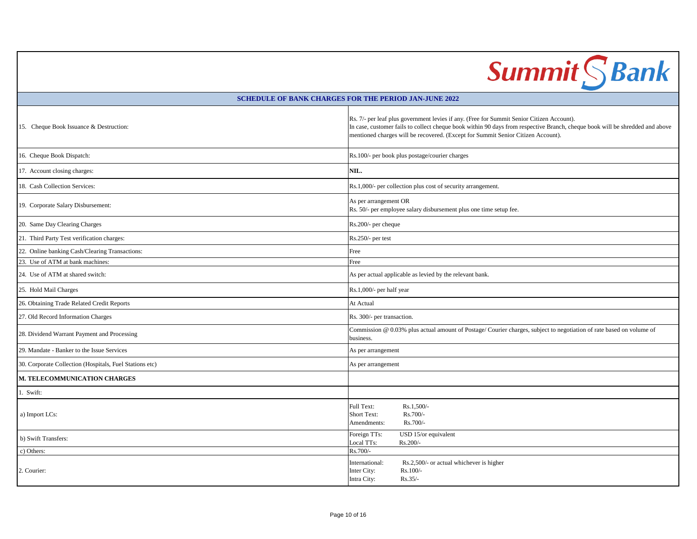# Summit S Bank

### **SCHEDULE OF BANK CHARGES FOR THE PERIOD JAN-JUNE 2022**

| 15. Cheque Book Issuance & Destruction:                 | Rs. 7/- per leaf plus government levies if any. (Free for Summit Senior Citizen Account).<br>In case, customer fails to collect cheque book within 90 days from respective Branch, cheque book will be shredded and above<br>mentioned charges will be recovered. (Except for Summit Senior Citizen Account). |
|---------------------------------------------------------|---------------------------------------------------------------------------------------------------------------------------------------------------------------------------------------------------------------------------------------------------------------------------------------------------------------|
| 16. Cheque Book Dispatch:                               | Rs.100/- per book plus postage/courier charges                                                                                                                                                                                                                                                                |
| 17. Account closing charges:                            | NIL.                                                                                                                                                                                                                                                                                                          |
| 18. Cash Collection Services:                           | Rs.1,000/- per collection plus cost of security arrangement.                                                                                                                                                                                                                                                  |
| 19. Corporate Salary Disbursement:                      | As per arrangement OR<br>Rs. 50/- per employee salary disbursement plus one time setup fee.                                                                                                                                                                                                                   |
| 20. Same Day Clearing Charges                           | Rs.200/- per cheque                                                                                                                                                                                                                                                                                           |
| 21. Third Party Test verification charges:              | Rs.250/- per test                                                                                                                                                                                                                                                                                             |
| 22. Online banking Cash/Clearing Transactions:          | Free                                                                                                                                                                                                                                                                                                          |
| 23. Use of ATM at bank machines:                        | Free                                                                                                                                                                                                                                                                                                          |
| 24. Use of ATM at shared switch:                        | As per actual applicable as levied by the relevant bank.                                                                                                                                                                                                                                                      |
| 25. Hold Mail Charges                                   | Rs.1,000/- per half year                                                                                                                                                                                                                                                                                      |
| 26. Obtaining Trade Related Credit Reports              | At Actual                                                                                                                                                                                                                                                                                                     |
| 27. Old Record Information Charges                      | Rs. 300/- per transaction.                                                                                                                                                                                                                                                                                    |
| 28. Dividend Warrant Payment and Processing             | Commission @ 0.03% plus actual amount of Postage/Courier charges, subject to negotiation of rate based on volume of<br>business.                                                                                                                                                                              |
| 29. Mandate - Banker to the Issue Services              | As per arrangement                                                                                                                                                                                                                                                                                            |
| 30. Corporate Collection (Hospitals, Fuel Stations etc) | As per arrangement                                                                                                                                                                                                                                                                                            |
| M. TELECOMMUNICATION CHARGES                            |                                                                                                                                                                                                                                                                                                               |
| 1. Swift:                                               |                                                                                                                                                                                                                                                                                                               |
| a) Import LCs:                                          | Full Text:<br>Rs.1,500/-<br>Rs.700/-<br>Short Text:<br>Rs.700/-<br>Amendments:                                                                                                                                                                                                                                |
| b) Swift Transfers:                                     | Foreign TTs:<br>USD 15/or equivalent<br>Local TTs:<br>$Rs.200/-$                                                                                                                                                                                                                                              |
| c) Others:                                              | Rs.700/-                                                                                                                                                                                                                                                                                                      |
| 2. Courier:                                             | Rs.2,500/- or actual whichever is higher<br>International:<br>Rs.100/-<br>Inter City:<br>Intra City:<br>$Rs.35/-$                                                                                                                                                                                             |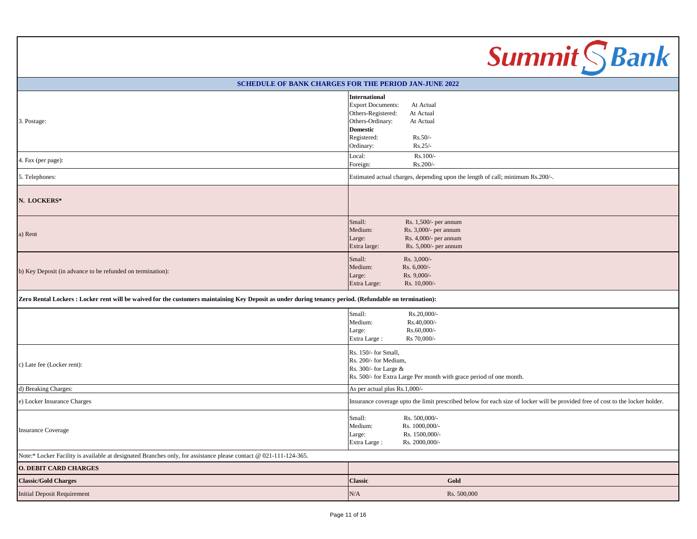|                                                                                                                                                         |                                                                                                                                           |                                                                                                  | <b>Summit SBank</b>                                                                                                            |
|---------------------------------------------------------------------------------------------------------------------------------------------------------|-------------------------------------------------------------------------------------------------------------------------------------------|--------------------------------------------------------------------------------------------------|--------------------------------------------------------------------------------------------------------------------------------|
| <b>SCHEDULE OF BANK CHARGES FOR THE PERIOD JAN-JUNE 2022</b>                                                                                            |                                                                                                                                           |                                                                                                  |                                                                                                                                |
| 3. Postage:                                                                                                                                             | <b>International</b><br><b>Export Documents:</b><br>Others-Registered:<br>Others-Ordinary:<br><b>Domestic</b><br>Registered:<br>Ordinary: | At Actual<br>At Actual<br>At Actual<br>$Rs.50/-$<br>$Rs.25/-$                                    |                                                                                                                                |
| 4. Fax (per page):                                                                                                                                      | Local:<br>Foreign:                                                                                                                        | Rs.100/-<br>Rs.200/-                                                                             |                                                                                                                                |
| 5. Telephones:                                                                                                                                          |                                                                                                                                           |                                                                                                  | Estimated actual charges, depending upon the length of call; minimum Rs.200/-.                                                 |
| N. LOCKERS*                                                                                                                                             |                                                                                                                                           |                                                                                                  |                                                                                                                                |
| a) Rent                                                                                                                                                 | Small:<br>Medium:<br>Large:<br>Extra large:                                                                                               | Rs. 1,500/- per annum<br>Rs. 3,000/- per annum<br>Rs. 4,000/- per annum<br>Rs. 5,000/- per annum |                                                                                                                                |
| b) Key Deposit (in advance to be refunded on termination):                                                                                              | Small:<br>Medium:<br>Large:<br>Extra Large:                                                                                               | Rs. 3,000/-<br>Rs. 6,000/-<br>Rs. 9,000/-<br>Rs. 10,000/-                                        |                                                                                                                                |
| Zero Rental Lockers : Locker rent will be waived for the customers maintaining Key Deposit as under during tenancy period. (Refundable on termination): |                                                                                                                                           |                                                                                                  |                                                                                                                                |
|                                                                                                                                                         | Small:<br>Medium:<br>Large:<br>Extra Large:                                                                                               | Rs.20,000/-<br>Rs.40,000/-<br>Rs.60,000/-<br>Rs 70,000/-                                         |                                                                                                                                |
| c) Late fee (Locker rent):                                                                                                                              | Rs. 150/- for Small,<br>Rs. 200/- for Medium,<br>Rs. 300/- for Large &                                                                    |                                                                                                  | Rs. 500/- for Extra Large Per month with grace period of one month.                                                            |
| d) Breaking Charges:                                                                                                                                    | As per actual plus Rs.1,000/-                                                                                                             |                                                                                                  |                                                                                                                                |
| e) Locker Insurance Charges                                                                                                                             |                                                                                                                                           |                                                                                                  | Insurance coverage upto the limit prescribed below for each size of locker will be provided free of cost to the locker holder. |
| <b>Insurance Coverage</b>                                                                                                                               | Small:<br>Medium:<br>Large:<br>Extra Large:                                                                                               | Rs. 500,000/-<br>Rs. 1000,000/-<br>Rs. 1500,000/-<br>Rs. 2000,000/-                              |                                                                                                                                |
| Note:* Locker Facility is available at designated Branches only, for assistance please contact @ 021-111-124-365.                                       |                                                                                                                                           |                                                                                                  |                                                                                                                                |
| <b>O. DEBIT CARD CHARGES</b>                                                                                                                            |                                                                                                                                           |                                                                                                  |                                                                                                                                |
| <b>Classic/Gold Charges</b>                                                                                                                             | <b>Classic</b>                                                                                                                            |                                                                                                  | Gold                                                                                                                           |
| <b>Initial Deposit Requirement</b>                                                                                                                      | $\rm N/A$                                                                                                                                 |                                                                                                  | Rs. 500,000                                                                                                                    |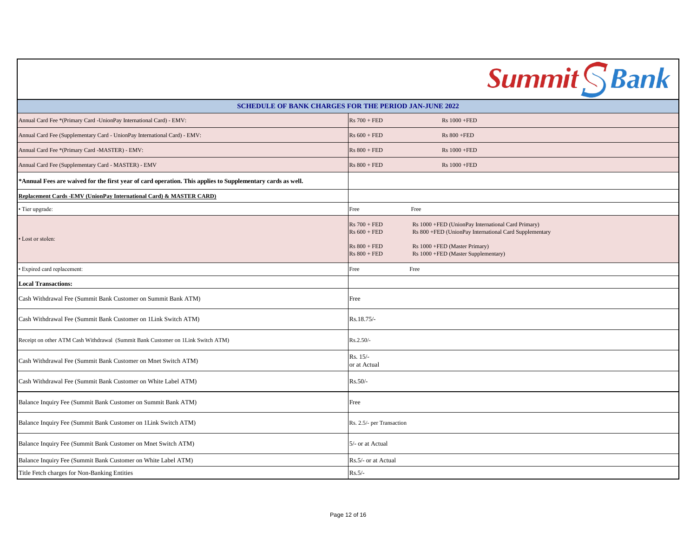|                                                                                                            | <b>Summit SBank</b>                                                                                                                                                                                                                                          |  |
|------------------------------------------------------------------------------------------------------------|--------------------------------------------------------------------------------------------------------------------------------------------------------------------------------------------------------------------------------------------------------------|--|
| <b>SCHEDULE OF BANK CHARGES FOR THE PERIOD JAN-JUNE 2022</b>                                               |                                                                                                                                                                                                                                                              |  |
| Annual Card Fee *(Primary Card -UnionPay International Card) - EMV:                                        | $Rs 700 + FED$<br>Rs 1000 +FED                                                                                                                                                                                                                               |  |
| Annual Card Fee (Supplementary Card - UnionPay International Card) - EMV:                                  | $Rs 600 + FED$<br><b>Rs 800 +FED</b>                                                                                                                                                                                                                         |  |
| Annual Card Fee *(Primary Card -MASTER) - EMV:                                                             | $Rs 800 + FED$<br>Rs 1000 +FED                                                                                                                                                                                                                               |  |
| Annual Card Fee (Supplementary Card - MASTER) - EMV                                                        | $Rs 800 + FED$<br>Rs 1000 +FED                                                                                                                                                                                                                               |  |
| *Annual Fees are waived for the first year of card operation. This applies to Supplementary cards as well. |                                                                                                                                                                                                                                                              |  |
| Replacement Cards -EMV (UnionPay International Card) & MASTER CARD)                                        |                                                                                                                                                                                                                                                              |  |
| Tier upgrade:                                                                                              | Free<br>Free                                                                                                                                                                                                                                                 |  |
| Lost or stolen:                                                                                            | $Rs 700 + FED$<br>Rs 1000 +FED (UnionPay International Card Primary)<br>$Rs 600 + FED$<br>Rs 800 +FED (UnionPay International Card Supplementary<br>$Rs 800 + FED$<br>Rs 1000 +FED (Master Primary)<br>$Rs 800 + FED$<br>Rs 1000 +FED (Master Supplementary) |  |
| Expired card replacement:                                                                                  | Free<br>Free                                                                                                                                                                                                                                                 |  |
| <b>Local Transactions:</b>                                                                                 |                                                                                                                                                                                                                                                              |  |
| Cash Withdrawal Fee (Summit Bank Customer on Summit Bank ATM)                                              | Free                                                                                                                                                                                                                                                         |  |
| Cash Withdrawal Fee (Summit Bank Customer on 1Link Switch ATM)                                             | Rs.18.75/-                                                                                                                                                                                                                                                   |  |
| Receipt on other ATM Cash Withdrawal (Summit Bank Customer on 1Link Switch ATM)                            | Rs.2.50/-                                                                                                                                                                                                                                                    |  |
| Cash Withdrawal Fee (Summit Bank Customer on Mnet Switch ATM)                                              | Rs. 15/-<br>or at Actual                                                                                                                                                                                                                                     |  |
| Cash Withdrawal Fee (Summit Bank Customer on White Label ATM)                                              | $Rs.50/-$                                                                                                                                                                                                                                                    |  |
| Balance Inquiry Fee (Summit Bank Customer on Summit Bank ATM)                                              | Free                                                                                                                                                                                                                                                         |  |
| Balance Inquiry Fee (Summit Bank Customer on 1Link Switch ATM)                                             | Rs. 2.5/- per Transaction                                                                                                                                                                                                                                    |  |
| Balance Inquiry Fee (Summit Bank Customer on Mnet Switch ATM)                                              | 5/- or at Actual                                                                                                                                                                                                                                             |  |
| Balance Inquiry Fee (Summit Bank Customer on White Label ATM)                                              | Rs.5/- or at Actual                                                                                                                                                                                                                                          |  |
| Title Fetch charges for Non-Banking Entities                                                               | $Rs.5/-$                                                                                                                                                                                                                                                     |  |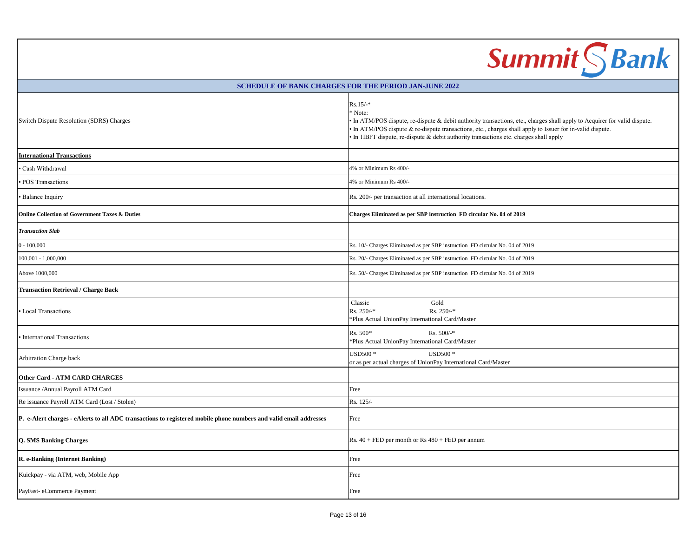| <b>Summit SBank</b>                                                                                               |                                                                                                                                                                                                                                                                                                                                                           |  |
|-------------------------------------------------------------------------------------------------------------------|-----------------------------------------------------------------------------------------------------------------------------------------------------------------------------------------------------------------------------------------------------------------------------------------------------------------------------------------------------------|--|
| <b>SCHEDULE OF BANK CHARGES FOR THE PERIOD JAN-JUNE 2022</b>                                                      |                                                                                                                                                                                                                                                                                                                                                           |  |
| Switch Dispute Resolution (SDRS) Charges                                                                          | $Rs.15/-*$<br>* Note:<br>• In ATM/POS dispute, re-dispute & debit authority transactions, etc., charges shall apply to Acquirer for valid dispute.<br>• In ATM/POS dispute & re-dispute transactions, etc., charges shall apply to Issuer for in-valid dispute.<br>• In 1IBFT dispute, re-dispute & debit authority transactions etc. charges shall apply |  |
| <b>International Transactions</b>                                                                                 |                                                                                                                                                                                                                                                                                                                                                           |  |
| Cash Withdrawal                                                                                                   | 4% or Minimum Rs 400/-                                                                                                                                                                                                                                                                                                                                    |  |
| POS Transactions                                                                                                  | 4% or Minimum Rs 400/-                                                                                                                                                                                                                                                                                                                                    |  |
| <b>Balance Inquiry</b>                                                                                            | Rs. 200/- per transaction at all international locations.                                                                                                                                                                                                                                                                                                 |  |
| <b>Online Collection of Government Taxes &amp; Duties</b>                                                         | Charges Eliminated as per SBP instruction FD circular No. 04 of 2019                                                                                                                                                                                                                                                                                      |  |
| <b>Transaction Slab</b>                                                                                           |                                                                                                                                                                                                                                                                                                                                                           |  |
| $0 - 100,000$                                                                                                     | Rs. 10/- Charges Eliminated as per SBP instruction FD circular No. 04 of 2019                                                                                                                                                                                                                                                                             |  |
| $100,001 - 1,000,000$                                                                                             | Rs. 20/- Charges Eliminated as per SBP instruction FD circular No. 04 of 2019                                                                                                                                                                                                                                                                             |  |
| Above 1000,000                                                                                                    | Rs. 50/- Charges Eliminated as per SBP instruction FD circular No. 04 of 2019                                                                                                                                                                                                                                                                             |  |
| <b>Transaction Retrieval / Charge Back</b>                                                                        |                                                                                                                                                                                                                                                                                                                                                           |  |
| <b>Local Transactions</b>                                                                                         | Gold<br>Classic<br>Rs. $250/-$ *<br>Rs. 250/-*<br>*Plus Actual UnionPay International Card/Master                                                                                                                                                                                                                                                         |  |
| <b>International Transactions</b>                                                                                 | $Rs. 500/-$ *<br>Rs. 500*<br>*Plus Actual UnionPay International Card/Master                                                                                                                                                                                                                                                                              |  |
| <b>Arbitration Charge back</b>                                                                                    | <b>USD500*</b><br><b>USD500*</b><br>or as per actual charges of UnionPay International Card/Master                                                                                                                                                                                                                                                        |  |
| <b>Other Card - ATM CARD CHARGES</b>                                                                              |                                                                                                                                                                                                                                                                                                                                                           |  |
| Issuance / Annual Payroll ATM Card                                                                                | Free                                                                                                                                                                                                                                                                                                                                                      |  |
| Re issuance Payroll ATM Card (Lost / Stolen)                                                                      | Rs. 125/-                                                                                                                                                                                                                                                                                                                                                 |  |
| P. e-Alert charges - eAlerts to all ADC transactions to registered mobile phone numbers and valid email addresses | Free                                                                                                                                                                                                                                                                                                                                                      |  |
| <b>Q. SMS Banking Charges</b>                                                                                     | Rs. $40 + FED$ per month or Rs $480 + FED$ per annum                                                                                                                                                                                                                                                                                                      |  |
| R. e-Banking (Internet Banking)                                                                                   | Free                                                                                                                                                                                                                                                                                                                                                      |  |
| Kuickpay - via ATM, web, Mobile App                                                                               | Free                                                                                                                                                                                                                                                                                                                                                      |  |
| PayFast-eCommerce Payment                                                                                         | Free                                                                                                                                                                                                                                                                                                                                                      |  |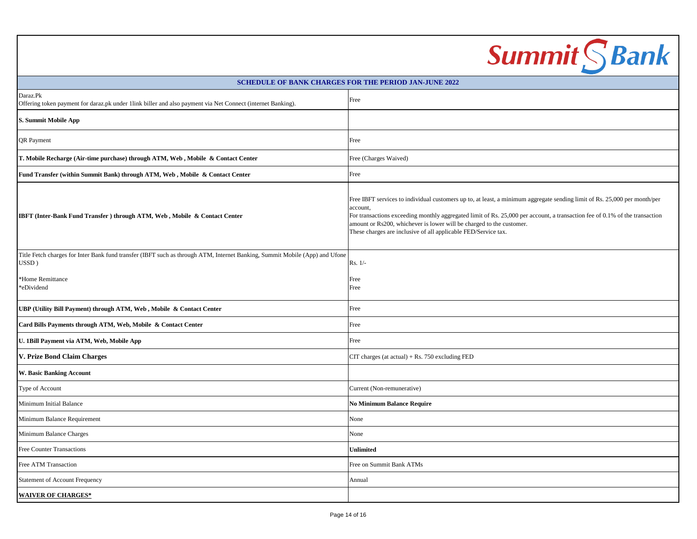|                                                                                                                                      | <b>Summit SBank</b>                                                                                                                                                                                                                                                                                                                                                                                            |  |
|--------------------------------------------------------------------------------------------------------------------------------------|----------------------------------------------------------------------------------------------------------------------------------------------------------------------------------------------------------------------------------------------------------------------------------------------------------------------------------------------------------------------------------------------------------------|--|
| <b>SCHEDULE OF BANK CHARGES FOR THE PERIOD JAN-JUNE 2022</b>                                                                         |                                                                                                                                                                                                                                                                                                                                                                                                                |  |
| Daraz.Pk<br>Offering token payment for daraz.pk under 1link biller and also payment via Net Connect (internet Banking).              | Free                                                                                                                                                                                                                                                                                                                                                                                                           |  |
| S. Summit Mobile App                                                                                                                 |                                                                                                                                                                                                                                                                                                                                                                                                                |  |
| <b>QR</b> Payment                                                                                                                    | Free                                                                                                                                                                                                                                                                                                                                                                                                           |  |
| T. Mobile Recharge (Air-time purchase) through ATM, Web, Mobile & Contact Center                                                     | Free (Charges Waived)                                                                                                                                                                                                                                                                                                                                                                                          |  |
| Fund Transfer (within Summit Bank) through ATM, Web, Mobile & Contact Center                                                         | Free                                                                                                                                                                                                                                                                                                                                                                                                           |  |
| IBFT (Inter-Bank Fund Transfer) through ATM, Web, Mobile & Contact Center                                                            | Free IBFT services to individual customers up to, at least, a minimum aggregate sending limit of Rs. 25,000 per month/per<br>account,<br>For transactions exceeding monthly aggregated limit of Rs. 25,000 per account, a transaction fee of 0.1% of the transaction<br>amount or Rs200, whichever is lower will be charged to the customer.<br>These charges are inclusive of all applicable FED/Service tax. |  |
| Title Fetch charges for Inter Bank fund transfer (IBFT such as through ATM, Internet Banking, Summit Mobile (App) and Ufone<br>USSD) | $Rs. 1/-$                                                                                                                                                                                                                                                                                                                                                                                                      |  |
| *Home Remittance<br>*eDividend                                                                                                       | Free<br>Free                                                                                                                                                                                                                                                                                                                                                                                                   |  |
| UBP (Utility Bill Payment) through ATM, Web, Mobile & Contact Center                                                                 | Free                                                                                                                                                                                                                                                                                                                                                                                                           |  |
| Card Bills Payments through ATM, Web, Mobile & Contact Center                                                                        | Free                                                                                                                                                                                                                                                                                                                                                                                                           |  |
| U. 1Bill Payment via ATM, Web, Mobile App                                                                                            | Free                                                                                                                                                                                                                                                                                                                                                                                                           |  |
| V. Prize Bond Claim Charges                                                                                                          | CIT charges (at actual) $+$ Rs. 750 excluding FED                                                                                                                                                                                                                                                                                                                                                              |  |
| <b>W. Basic Banking Account</b>                                                                                                      |                                                                                                                                                                                                                                                                                                                                                                                                                |  |
| Type of Account                                                                                                                      | Current (Non-remunerative)                                                                                                                                                                                                                                                                                                                                                                                     |  |
| Minimum Initial Balance                                                                                                              | <b>No Minimum Balance Require</b>                                                                                                                                                                                                                                                                                                                                                                              |  |
| Minimum Balance Requirement                                                                                                          | None                                                                                                                                                                                                                                                                                                                                                                                                           |  |
| Minimum Balance Charges                                                                                                              | None                                                                                                                                                                                                                                                                                                                                                                                                           |  |
| Free Counter Transactions                                                                                                            | Unlimited                                                                                                                                                                                                                                                                                                                                                                                                      |  |
| Free ATM Transaction                                                                                                                 | Free on Summit Bank ATMs                                                                                                                                                                                                                                                                                                                                                                                       |  |
| <b>Statement of Account Frequency</b>                                                                                                | Annual                                                                                                                                                                                                                                                                                                                                                                                                         |  |
| <b>WAIVER OF CHARGES*</b>                                                                                                            |                                                                                                                                                                                                                                                                                                                                                                                                                |  |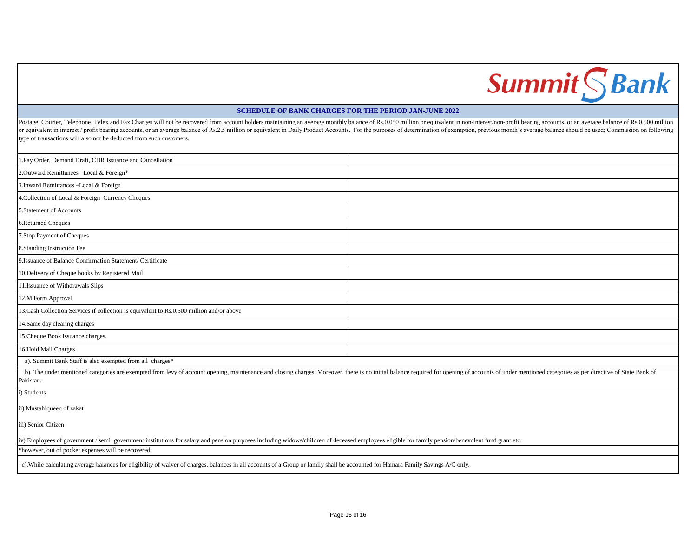## **Summit SBank**

### **SCHEDULE OF BANK CHARGES FOR THE PERIOD JAN-JUNE 2022**

Postage, Courier, Telephone, Telex and Fax Charges will not be recovered from account holders maintaining an average monthly balance of Rs.0.050 million or equivalent in non-interest/non-profit bearing accounts, or an aver or equivalent in interest / profit bearing accounts, or an average balance of Rs.2.5 million or equivalent in Daily Product Accounts. For the purposes of determination of exemption, previous month's average balance should type of transactions will also not be deducted from such customers.

| 1. Pay Order, Demand Draft, CDR Issuance and Cancellation                                                                                                                                                                                   |  |
|---------------------------------------------------------------------------------------------------------------------------------------------------------------------------------------------------------------------------------------------|--|
| 2.Outward Remittances-Local & Foreign*                                                                                                                                                                                                      |  |
| 3. Inward Remittances -Local & Foreign                                                                                                                                                                                                      |  |
| 4. Collection of Local & Foreign Currency Cheques                                                                                                                                                                                           |  |
| 5. Statement of Accounts                                                                                                                                                                                                                    |  |
| 6.Returned Cheques                                                                                                                                                                                                                          |  |
| 7. Stop Payment of Cheques                                                                                                                                                                                                                  |  |
| 8. Standing Instruction Fee                                                                                                                                                                                                                 |  |
| 9. Issuance of Balance Confirmation Statement/ Certificate                                                                                                                                                                                  |  |
| 10. Delivery of Cheque books by Registered Mail                                                                                                                                                                                             |  |
| 11.Issuance of Withdrawals Slips                                                                                                                                                                                                            |  |
| 12.M Form Approval                                                                                                                                                                                                                          |  |
| 13. Cash Collection Services if collection is equivalent to Rs.0.500 million and/or above                                                                                                                                                   |  |
| 14.Same day clearing charges                                                                                                                                                                                                                |  |
| 15. Cheque Book issuance charges.                                                                                                                                                                                                           |  |
| 16.Hold Mail Charges                                                                                                                                                                                                                        |  |
| a). Summit Bank Staff is also exempted from all charges*                                                                                                                                                                                    |  |
| b). The under mentioned categories are exempted from levy of account opening, maintenance and closing charges. Moreover, there is no initial balance required for opening of accounts of under mentioned categories as per dir<br>Pakistan. |  |
| i) Students                                                                                                                                                                                                                                 |  |
| ii) Mustahiqueen of zakat                                                                                                                                                                                                                   |  |
| iii) Senior Citizen                                                                                                                                                                                                                         |  |
| iv) Employees of government / semi government institutions for salary and pension purposes including widows/children of deceased employees eligible for family pension/benevolent fund grant etc.                                           |  |
| *however, out of pocket expenses will be recovered.                                                                                                                                                                                         |  |
| c). While calculating average balances for eligibility of waiver of charges, balances in all accounts of a Group or family shall be accounted for Hamara Family Savings A/C only.                                                           |  |